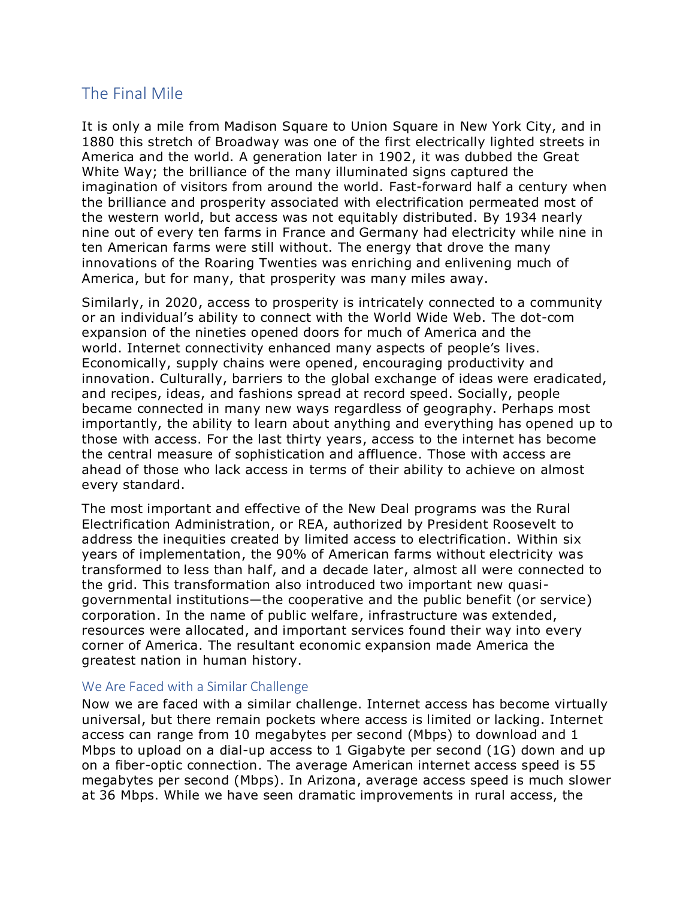## The Final Mile

It is only a mile from Madison Square to Union Square in New York City, and in 1880 this stretch of Broadway was one of the first electrically lighted streets in America and the world. A generation later in 1902, it was dubbed the Great White Way; the brilliance of the many illuminated signs captured the imagination of visitors from around the world. Fast-forward half a century when the brilliance and prosperity associated with electrification permeated most of the western world, but access was not equitably distributed. By 1934 nearly nine out of every ten farms in France and Germany had electricity while nine in ten American farms were still without. The energy that drove the many innovations of the Roaring Twenties was enriching and enlivening much of America, but for many, that prosperity was many miles away.

Similarly, in 2020, access to prosperity is intricately connected to a community or an individual's ability to connect with the World Wide Web. The dot-com expansion of the nineties opened doors for much of America and the world. Internet connectivity enhanced many aspects of people's lives. Economically, supply chains were opened, encouraging productivity and innovation. Culturally, barriers to the global exchange of ideas were eradicated, and recipes, ideas, and fashions spread at record speed. Socially, people became connected in many new ways regardless of geography. Perhaps most importantly, the ability to learn about anything and everything has opened up to those with access. For the last thirty years, access to the internet has become the central measure of sophistication and affluence. Those with access are ahead of those who lack access in terms of their ability to achieve on almost every standard.

The most important and effective of the New Deal programs was the Rural Electrification Administration, or REA, authorized by President Roosevelt to address the inequities created by limited access to electrification. Within six years of implementation, the 90% of American farms without electricity was transformed to less than half, and a decade later, almost all were connected to the grid. This transformation also introduced two important new quasigovernmental institutions—the cooperative and the public benefit (or service) corporation. In the name of public welfare, infrastructure was extended, resources were allocated, and important services found their way into every corner of America. The resultant economic expansion made America the greatest nation in human history.

## We Are Faced with a Similar Challenge

Now we are faced with a similar challenge. Internet access has become virtually universal, but there remain pockets where access is limited or lacking. Internet access can range from 10 megabytes per second (Mbps) to download and 1 Mbps to upload on a dial-up access to 1 Gigabyte per second (1G) down and up on a fiber-optic connection. The average American internet access speed is 55 megabytes per second (Mbps). In Arizona, average access speed is much slower at 36 Mbps. While we have seen dramatic improvements in rural access, the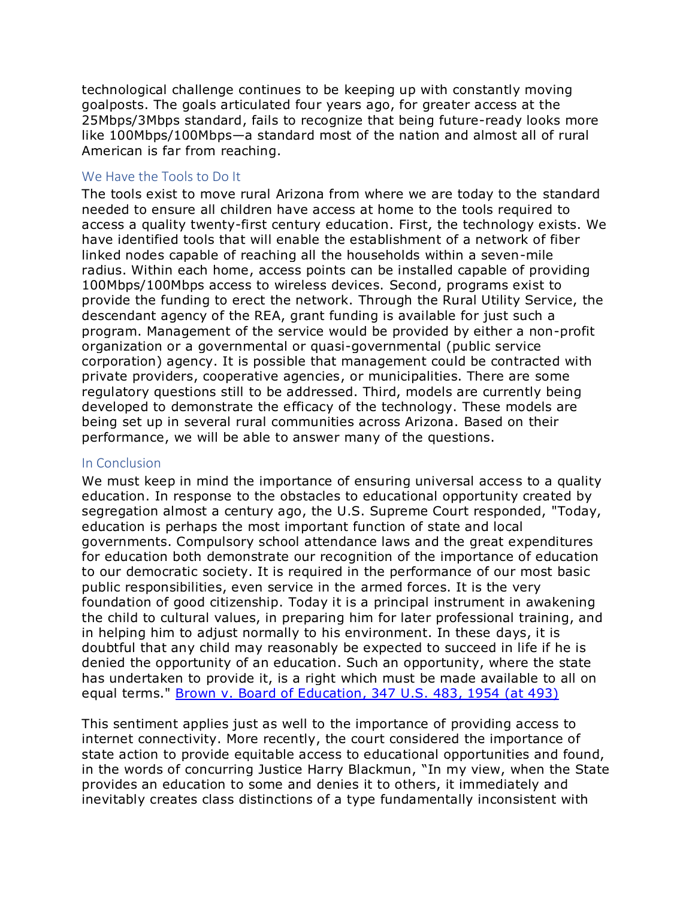technological challenge continues to be keeping up with constantly moving goalposts. The goals articulated four years ago, for greater access at the 25Mbps/3Mbps standard, fails to recognize that being future-ready looks more like 100Mbps/100Mbps—a standard most of the nation and almost all of rural American is far from reaching.

## We Have the Tools to Do It

The tools exist to move rural Arizona from where we are today to the standard needed to ensure all children have access at home to the tools required to access a quality twenty-first century education. First, the technology exists. We have identified tools that will enable the establishment of a network of fiber linked nodes capable of reaching all the households within a seven-mile radius. Within each home, access points can be installed capable of providing 100Mbps/100Mbps access to wireless devices. Second, programs exist to provide the funding to erect the network. Through the Rural Utility Service, the descendant agency of the REA, grant funding is available for just such a program. Management of the service would be provided by either a non-profit organization or a governmental or quasi-governmental (public service corporation) agency. It is possible that management could be contracted with private providers, cooperative agencies, or municipalities. There are some regulatory questions still to be addressed. Third, models are currently being developed to demonstrate the efficacy of the technology. These models are being set up in several rural communities across Arizona. Based on their performance, we will be able to answer many of the questions.

## In Conclusion

We must keep in mind the importance of ensuring universal access to a quality education. In response to the obstacles to educational opportunity created by segregation almost a century ago, the U.S. Supreme Court responded, "Today, education is perhaps the most important function of state and local governments. Compulsory school attendance laws and the great expenditures for education both demonstrate our recognition of the importance of education to our democratic society. It is required in the performance of our most basic public responsibilities, even service in the armed forces. It is the very foundation of good citizenship. Today it is a principal instrument in awakening the child to cultural values, in preparing him for later professional training, and in helping him to adjust normally to his environment. In these days, it is doubtful that any child may reasonably be expected to succeed in life if he is denied the opportunity of an education. Such an opportunity, where the state has undertaken to provide it, is a right which must be made available to all on equal terms." [Brown v. Board of Education, 347 U.S. 483, 1954 \(at 493\)](https://scholar.google.com/scholar_case?case=12120372216939101759&hl=en&as_sdt=806)

This sentiment applies just as well to the importance of providing access to internet connectivity. More recently, the court considered the importance of state action to provide equitable access to educational opportunities and found, in the words of concurring Justice Harry Blackmun, "In my view, when the State provides an education to some and denies it to others, it immediately and inevitably creates class distinctions of a type fundamentally inconsistent with